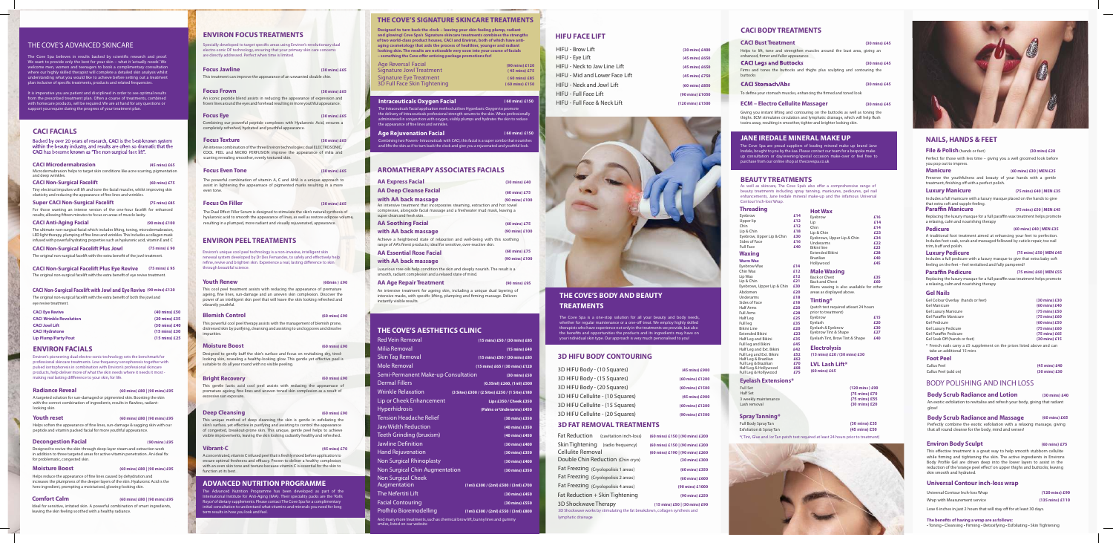## THE COVE'S ADVANCED SKINCARE

The Cove Spa believes in results backed by scientific research and proof. We want to provide only the best for your skin – what it 'actually needs'. We me men, women and teenagers to book a complimentary consultation where our highly skilled therapist will complete a detailed skin analysis whilst ding what you would like to achieve before setting out a treatment plan inclusive of specific treatments, products and related frequencies.

**Youth reset (60 mins) £80 | (90 mins) £95**  Helps soften the appearance of fine lines, sun-damage & sagging skin with our

It is imperative you are patient and disciplined in order to see optimal results from the prescribed treatment plan. Often a course of treatments, combined with homecare products, will be required. We are at hand for any questions or support you require during the progress of your treatment plan.

increases the plumpness of the deeper layers of the skin. Hyaluronic Acid is the hero ingredient, prompting a moisturised, glowing-looking skin. Helps reduce the appearance of fine lines caused by dehydration and

### **ENVIRON FACIALS**

| (60 mins) £80   (90 mins) £95                                                                                                                          |
|--------------------------------------------------------------------------------------------------------------------------------------------------------|
| A targeted solution for sun-damaged or pigmented skin. Boosting the skin<br>with the correct combination of ingredients, results in flawless, radiant- |
|                                                                                                                                                        |

**CACI Non-Surgical Facelift (60 mins) £75** Tiny electrical impulses will lift and tone the facial muscles, whilst improving skin elasticity and reducing the appearance of fine lines and wrinkles.

**Super CACI Non-Surgical Facelift (75 mins) £85** For those wanting an intense version of the one-hour facelift for enhanced results; allowing fifteen minutes to focus on areas of muscle laxity.

peptide and vitamin packed facial for more youthful appearance.

LED light therapy, plumping of fine lines and wrinkles. This Includes a collagen mask infused with powerful hydrating properties such as hyaluronic acid, vitamin E and C

**Decongestion Facial (90 mins ) £95** Designed to revive the skin through deep-layer steam and extraction work in addition to three targeted areas for active vitamin penetration. An ideal fix for problematic, congested skin.

**CACI Non-Surgical Facelift Plus Jowl (75 mins) £ 90** The original non-surgical facelift with the extra benefit of the jowl treatment.

**CACI Non-Surgical Facelift Plus Eye Revive (75 mins) £ 95** The original non-surgical facelift with the extra benefit of eye revive treatment.

**Moisture Boost (60 mins) £80 | (90 mins) £95** 

**Comfort Calm (60 mins) £80 | (90 mins) £95** 

Ideal for sensitive, irritated skin. A powerful combination of smart ingredients, leaving the skin feeling soothed with a healthy radiance.

## **CACI FACIALS**

Backed by over 20 years of research, CACI is the best-known system within the beauty industry, and results are often so dramatic that the CACI has become known as "The non-surgical face lift".

#### This gentle lactic acid cool peel assists with reducing the appearnace of premature ageing, fine lines and uneven toned skin complexion as a result of .<br>excessive sun exposure.

**CACI Anti-Aging Facial (90 mins) £100** The ultimate non-surgical facial which includes lifting, toning, microdermabrasion,

> The Advanced Nutrition Programme has been developed as part of the International Institute for Anti-Aging (IIAA). Their speciality packs are the 'Rolls Royce'of dietary supplements. Please contact The Cove Spa for a complimentary nitial consultation to understand what vitamins and minerals you need for long erm results in how you look and feel.

| <b>CACI Eye Revive</b>         | (40 mins) £50           |
|--------------------------------|-------------------------|
| <b>CACI Wrinkle Revolution</b> | $(20 \text{ mins})$ £35 |
| <b>CACI Jowl Lift</b>          | (30 mins) £40           |
| <b>CACI Hydratone</b>          | $(15 \text{ mins})$ £30 |
| <b>Lip Plump/Party Pout</b>    | $(15 \text{ mins})$ £25 |

Specially developed to target specific areas using Environ's revolutionary dual electro-sonic DF technology, ensuring that your primary skin care concerns are directly addressed. Perfect when time is limited.

**CACI Non-Surgical Facelift with Jowl and Eye Revive (90 mins) £120**

## **ENVIRON PEEL TREATMENTS**

Environ's unique cool peel technology is a non-invasive, intelligent skin renewal system developed by Dr Des Fernandes, to safely and effectively help refine, revive and brighten skin. Experience a real, lasting difference to skin through beautiful science.

#### **Youth Renew**

This cool peel treatment assists with reducing the appearance of premature ageing, fine lines, sun-damage and an uneven skin complexion. Discover the power of an intelligent skin peel that will leave the skin looking refreshed and vibrantly youthful.

#### **Blemish Control**

This powerful cool peel therapy assists with the management of blemish prone, distressed skin by purifying, cleansing and assisting to unclog pores and dissolve impurities.

#### **Moisture Boost**

Designed to gently buff the skin's surface and focus on revitalising dry, tiredlooking skin, revealing a healthy-looking glow. This gentle yet effective peel is suitable to do all year round with no visible peeling.

#### **Bright Recovery**

#### **Deep Cleansing**

This unique method of deep cleansing the skin is gentle in exfoliating the skin's surface, yet effective in purifying and assisting to control the appearance of congested, breakout-prone skin. This unique, gentle peel helps to achieve visible improvements, leaving the skin looking radiantly healthy and refreshed..

#### **Vibrant-C**

A concentrated, vitamin C infused peel that is freshly mixed before application to ensure optimal freshness and efficacy. Proven to deliver a healthy complexion with an even skin tone and texture because vitamin C is essential for the skin to function at its best..

## **ADVANCED NUTRITION PROGRAMME**

The Cove Spa is a one-stop solution for all your beauty and body needs, whether for regular maintenance or a one-off treat. We employ highly skilled therapists who have experience not only in the treatments we provide, but also the benefits and opportunities the products and its ingredients may have on your individual skin type. Our approach is very much personalised to you!

## **ENVIRON FOCUS TREATMENTS**

### , collagen synthesis and lymphatic drainage

#### **Focus Jawline (30 mins) £65**

This treatment can improve the appearance of an unwanted double chin.

**Body Scrub Radiance and Lotion** (30 mins) £40 An exotic exfoliation to revitalise and refresh your body, giving that radiant glow!

#### **Focus Frown (30 mins) £65**

An iconic peptide blend assists in reducing the appearance of expression and frown lines around the eyes and forehead resulting in more youthful appearance.

#### **Focus Eye (30 mins) £65**

Combining our powerful peptide complexes with Hyaluronic Acid, ensures a completely refreshed, hydrated and youthful appearance.

#### **Focus Texture** (30 mins) £65

An intense combination of the three Environ technologies: dual ELECTROSONIC, COOL PEEL and MICRO PERFUSION improve the appearance of milia and scarring revealing smoother, evenly textured skin.

#### **Focus Even Tone (30 mins) £65**

The powerful combination of vitamin A, C and AHA is a unique approach to assist in lightening the appearnace of pigmented marks resulting in a more even tone.

#### **Focus On Filler**

The Dual Effect Filler Serum is designed to stimulate the skin's natural synthesis of hyaluronic acid to smooth the appearance of lines, as well as restore adipose volume, resulting in a plumped, more radiant and visually rejuvenated, appearance.

**(30 mins) £65**

**(60 min ) £90** 

**(60 mins) £90**

**(60 mins) £90**

**(60 mins) £90**

**(60 mins) £90**

**(45 mins) £70**

## **AROMATHERAPYASSOCIATES FACIALS**

 toxins away, resulting in smoother, tighter and brighter looking skin. Giving you instant lifting and contouring on the buttocks as well as toning the thighs. ECM stimulates circulation and lymphatic drainage, which will help flush

3 weekly maintenance **(75 mins) £55** Lash removal

Luxurious rose oils help condition the skin and deeply nourish. The result is a smooth, radiant complexion and a relaxed state of mind.

#### **AA Age RepairTreatment (90 mins) £95**

An intensive treatment for ageing skin, including a unique dual layering of intensive masks, with specific lifting, plumping and firming massage. Delivers instantly visible results.

## **THE COVE'S AESTHETICS CLINIC**

| <b>Red Vein Removal</b>                                                                                      | (15 mins) £50 / (30 mins) £85                   |
|--------------------------------------------------------------------------------------------------------------|-------------------------------------------------|
| Milia Removal                                                                                                | (15 mins) £40                                   |
| <b>Skin Tag Removal</b>                                                                                      | (15 mins) £50 / (30 mins) £85                   |
| Mole Removal                                                                                                 | (15 mins) £65 / (30 mins) £120                  |
| <b>Semi-Permanent Make-up Consultation</b>                                                                   | (30 mins) £50                                   |
| <b>Dermal Fillers</b>                                                                                        | (0.55ml) £260, (1ml) £500                       |
| <b>Wrinkle Relaxation</b>                                                                                    | (3 Sites) £300 / (2 Sites) £250 / (1 Site) £180 |
| Lip or Cheek Enhancement                                                                                     | Lips £350 / Cheek £350                          |
| <b>Hyperhidrosis</b>                                                                                         | (Palms or Underarms) £450                       |
| <b>Tension Headache Relief</b>                                                                               | (30 mins) £350                                  |
| <b>Jaw Width Reduction</b>                                                                                   | (40 mins) £350                                  |
| Teeth Grinding (bruxism)                                                                                     | (40 mins) £450                                  |
| <b>Jawline Definition</b>                                                                                    | (30 mins) £400                                  |
| <b>Hand Rejuvenation</b>                                                                                     | (30 mins) £350                                  |
| <b>Non Surgical Rhinoplasty</b>                                                                              | (30 mins) £400                                  |
| Non Surgical Chin Augmentation                                                                               | (30 mins) £350                                  |
| <b>Non Surgical Cheek</b>                                                                                    |                                                 |
| Augmentation                                                                                                 | (1ml) £300 / (2ml) £500 / (3ml) £700            |
| The Nefertiti Lift                                                                                           | (30 mins) £450                                  |
| <b>Facial Contouring</b>                                                                                     | (30 mins) £550                                  |
| Profhilo Bioremodelling                                                                                      | (1ml) £300 / (2ml) £550 / (3ml) £800            |
| And many more treatments, such as chemical brow lift, bunny lines and gummy<br>smiles, listed on our website |                                                 |

The Intraceuticals Facial application method utilises Hyperbaric Oxygen to promote the delivery of Intraceuticals professional strength serums to the skin. When professionally administered in conjunction with oxygen, visibly plumps and hydrates the skin to reduce the appearance of fine lines and wrinkles

The original non-surgical facelift with the extra benefit of both the jowl and eye revive treatment.

## **THE COVE'S SIGNATURE SKINCARE TREATMENTS**

' **Designed to turn back the clock – leaving your skin feeling plump, radiant and glowing! Cove Spa's Signature skincare treatments combines the strengths of two world-class product houses, CACI and Environ, both of which have antiaging cosmetology that aids the process of healthier, younger and radiant looking skin. The results are noticeable very soon into your course of facials – something the Cove offer enticing package promotions for!**

## **THE COVE'S BODY AND BEAUTY TREATMENTS**

| 3D HIFU Body - (10 Squares)      |
|----------------------------------|
| 3D HIFU Body - (15 Squares)      |
| 3D HIFU Body - (20 Squares)      |
| 3D HIFU Cellulite - (10 Squares) |
| 3D HIFU Cellulite - (15 Squares) |
| 3D HIFU Cellulite - (20 Squares) |

## **HIFU FACE LIFT**

**CACI Microdermabrasion (45 mins) £65** Microdermabrasion helps to target skin conditions like acne scarring, pigmentation and deep wrinkles.

| HIFU - Brow Lift               | (30 mins) £400   |
|--------------------------------|------------------|
| HIFU - Eye Lift                | (45 mins) £650   |
| HIFU - Neck to Jaw Line Lift   | (45 mins) £650   |
| HIFU - Mid and Lower Face Lift | (45 mins) £750   |
| HIFU - Neck and Jowl Lift      | (60 mins) £850   |
| HIFU - Full Face Lift          | (90 mins) £1050  |
| HIFU - Full Face & Neck Lift   | (120 mins) £1500 |
|                                |                  |



## **3D HIFU BODY CONTOURING**

## **3D FAT REMOVAL TREATMENTS**

 **(60 mins) £150 | (90 mins) £200 (60 mins) £150 | (90 mins) £200** mins) £190 | (90 mins) £260 (Cryolopolisis 1 ar eas) **(60 mins) £350 (60 mins) £600 (90 mins) £1000** Fat Reduction + Skin Tightening **(90 mins) £250** 3D Shockwave Therapy **(15 mins) £50 | (30 mins) £90** Double Chin Reduction (Chin cryo) **(30 mins) £300**

| Fat Reduction (cavitation inch-loss)                 | (60)           |  |  |
|------------------------------------------------------|----------------|--|--|
| Skin Tightening (radio frequency)                    | (60)           |  |  |
| Cellulite Removal                                    | (60)           |  |  |
| Double Chin Reduction (Chin cryo)                    |                |  |  |
| Fat Freezing (Cryolopolisis 1 areas)                 |                |  |  |
| Fat Freezing (Cryolopolisis 2 areas)                 |                |  |  |
| Fat Freezing (Cryolopolisis 4 areas)                 |                |  |  |
| Fat Reduction + Skin Tightening                      |                |  |  |
| 3D Shockwave Therapy                                 | $\mathfrak{r}$ |  |  |
| 3D Shockwave works by stimulating the fat breakdown, |                |  |  |

**(45 mins) £900 (60 mins) £1200 (60 mins) £1500 (45 mins) £900 (60 mins) £1200 (90 mins) £1500**

> Perfectly combine the exotic exfoliation with a relaxing massage, giving that all round cleanse for the body, mind and senses!

### **Environ Body Sculpt (60 mins) £75**

This effective treatment is a great way to help smooth stubborn cellulite while firming and tightening the skin. The active ingredients in Environs Body Profile Gel are driven deep into the lower layers to assist in the reduction of the 'orange peel effect'on upper thighs and buttocks; leaving skin smooth and hydrated.

## **Universal Contour inch-loss wrap**

| Universal Contour Inch-loss Wrap | (120 mins) £90  |
|----------------------------------|-----------------|
| Wrap with Measurement service    | (135 mins) £110 |

Lose 6 inches in just 2 hours that will stay off for at least 30 days.

#### **The benets of having a wrap are as follows:**

• Toning • Cleansing • Firming • Detoxifying • Exfoliating • Skin Tightening

| <b>AA Express Facial</b>                                                                                                                                                                                        | $(30 \text{ mins})$ £40 |
|-----------------------------------------------------------------------------------------------------------------------------------------------------------------------------------------------------------------|-------------------------|
| <b>AA Deep Cleanse Facial</b>                                                                                                                                                                                   | $(60 \text{ mins})$ £75 |
| with AA back massage<br>An intensive treatment that incorporates steaming, extraction and hot towel<br>compresses, alongside facial massage and a freshwater mud mask, leaving a<br>super clean and fresh skin. | (90 mins) £100          |
| <b>AA Soothing Facial</b>                                                                                                                                                                                       | $(60 \text{ mins})$ £75 |
| with AA back massage                                                                                                                                                                                            | (90 mins) £100          |
| Achieve a heightened state of relaxation and well-being with this soothing<br>range of AA's finest products; ideal for sensitive, over-reactive skin.                                                           |                         |
| <b>AA Essential Rose Facial</b>                                                                                                                                                                                 | $(60 \text{ mins})$ £75 |
| with AA back massage                                                                                                                                                                                            | (90 mins) £100          |
|                                                                                                                                                                                                                 |                         |

## **(60 mins) £65 Body Scrub Radiance and Massage**

## **NAILS, HANDS & FEET**

## **JANE IREDALE MINERAL MAKE UP**

The Cove Spa are proud suppliers of leading mineral make up brand Jane Iredale, bought to you by the iiaa. Please contact our team for a bespoke make up consultation or day/evening/special occasion make-over or feel free to purchase from our online shop at thecovespa.co.uk

## **BEAUTYTREATMENTS**

As well as skincare, The Cove Spa's also offer a comprehensive range of beauty treatments including spray tanning, manicures, pedicures, gel nail enhancements, Jane Iredale mineral make-up and the infamous Universal Contour 'inch-loss'Wrap.

## **CACI BODYTREATMENTS**

| <b>CACI Bust Treatment</b>                                                                                           | (30 mins) £45 |
|----------------------------------------------------------------------------------------------------------------------|---------------|
| Helps to lift, tone and strengthen muscles around the bust area, giving an<br>enhanced, firmer and fuller appearance |               |
| <b>CACI Legs and Buttocks</b>                                                                                        | (30 mins) £45 |
| Firms and tones the buttocks and thighs plus sculpting and contouring the<br><b>buttocks</b>                         |               |
| <b>CACI Stomach/Abs</b>                                                                                              | (30 mins) £45 |

To define your stomach muscles, enhancing the firmed and toned look

## **ECM – Electro Cellulite Massager**

**(30 mins) £45**

## **SprayTanning\***

 **(30 mins) £35**

Lash removal **(30 mins) £20**

Exfoliation & Spray Tan **(45 mins) £50** Full Body Spray Tan

\*( Tint, Glue and /or Tan patch test required at least 24 hours prior to treatment)





| <b>File &amp; Polish</b> (hands or feet)                                                                                                                                          | (30 mins) £20                  |
|-----------------------------------------------------------------------------------------------------------------------------------------------------------------------------------|--------------------------------|
| Perfect for those with less time - giving you a well groomed look before<br>you pop out to impress.                                                                               |                                |
| <b>Manicure</b>                                                                                                                                                                   | (60 mins) £30   MEN £25        |
| Preserve the youthfulness and beauty of your hands with a gentle<br>treatment, finishing off with a perfect polish.                                                               |                                |
| <b>Luxury Manicure</b>                                                                                                                                                            | (75 mins) £40   MEN £35        |
| Includes a full manicure with a luxury masque placed on the hands to give<br>that extra soft and supple feeling.                                                                  |                                |
| <b>Paraffin Manicure</b>                                                                                                                                                          | (75 mins) £50   MEN £45        |
| Replacing the luxury masque for a full paraffin wax treatment helps promote<br>a relaxing, calm and nourishing therapy                                                            |                                |
| <b>Pedicure</b>                                                                                                                                                                   | (60 mins) £40   MEN £35        |
| A traditional foot treatment aimed at enhancing your feet to perfection.<br>Includes foot soak, scrub and massaged followed by cuticle repair, toe nail<br>trim, buff and polish. |                                |
| <b>Luxury Pedicure</b><br>Includes a full pedicure with a luxury masque to give that extra baby soft<br>feeling on the feet – feel revitalised and fully pampered!                | (75 mins) £50   MEN £45        |
| <b>Paraffin Pedicure</b>                                                                                                                                                          | (75 mins) £60   MEN £55        |
| Replacing the luxury masque for a full paraffin wax treatment helps promote<br>a relaxing, calm and nourishing therapy                                                            |                                |
| <b>Gel Nails</b>                                                                                                                                                                  |                                |
| Gel Colour Overlay (hands or feet)<br><b>Gel Manicure</b>                                                                                                                         | (30 mins) £30<br>(60 mins) £40 |
| <b>Gel Luxury Manicure</b>                                                                                                                                                        | (75 mins) £50                  |
| <b>Gel Paraffin Manicure</b>                                                                                                                                                      | (75 mins) £60                  |
| Gel Pedicure                                                                                                                                                                      | (60 mins) £50                  |
| <b>Gel Luxury Pedicure</b>                                                                                                                                                        | (75 mins) £60                  |
| Gel Paraffin Pedicure<br>Gel Soak Off (hands or feet)                                                                                                                             | (75 mins) £65<br>(30 mins) £15 |
| * French nails carry a £5 supplement on the prices listed above and can<br>take an additional 15 mins                                                                             |                                |
| <b>Foot Peel</b>                                                                                                                                                                  |                                |
| Callus Peel                                                                                                                                                                       | (45 mins) £40                  |
| Callus Peel (add on)                                                                                                                                                              | (30 mins) £30                  |
| <b>BODY POLISHING AND INCH LOSS</b>                                                                                                                                               |                                |

| Full Leg and Ext. Bikini<br>Half Leg & Brazilian                     | £52<br>£62        | (15 mins) £20 / (30 mins) £30             |
|----------------------------------------------------------------------|-------------------|-------------------------------------------|
| Full Leg & Brazilian<br>Half Leg & Hollywood<br>Full Leg & Hollywood | £70<br>£68<br>£75 | LVL Lash Lift*<br>$(60 \text{ mins})$ £65 |
| <b>Eyelash Extensions*</b>                                           |                   |                                           |
| <b>Full Set</b>                                                      |                   | (120 mins) £90                            |
| <b>Half Set</b>                                                      |                   | $(75 \text{ mins})$ £70                   |
|                                                                      |                   |                                           |

| <b>Threading</b>           |     | <b>Hot Wax</b>                          |     |
|----------------------------|-----|-----------------------------------------|-----|
| Eyebrow                    | £14 | Eyebrow                                 | £16 |
| Upper lip                  | £12 | Lip                                     | £14 |
| Chin                       | £12 | Chin                                    | £14 |
| Lip & Chin                 | £18 | Lip & Chin                              | £23 |
| Eyebrow, Upper Lip & Chin  | £30 | Eyebrows, Upper Lip & Chin              | £34 |
| Sides of Face              | £16 | Underarms                               | £22 |
| <b>Full Face</b>           | £40 | <b>Rikini line</b>                      | £23 |
| <b>Waxing</b>              |     | <b>Extended Bikini</b>                  | £28 |
| <b>Warm Wax</b>            |     | <b>Brazilian</b>                        | £40 |
| Eyebrow Wax                | £14 | Hollywood                               | £45 |
| Chin Wax                   | £12 | <b>Male Waxing</b>                      |     |
| Lip Wax                    | £12 | <b>Back or Chest</b>                    | £35 |
| Lip & Chin                 | £21 | <b>Back and Chest</b>                   | £60 |
| Eyebrows, Upper Lip & Chin | £30 | Mens waxing is also available for other |     |
| Abdomen                    | £20 | areas as displayed above.               |     |
| Underarms                  | £18 |                                         |     |
| Sides of Face              | £18 | Tinting*                                |     |
| <b>Half Arms</b>           | £20 | (patch test required atleast 24 hours   |     |
| <b>Full Arms</b>           | £28 | prior to treatment)                     |     |
| Half Leg                   | £25 | Eyebrow                                 | £15 |
| Full leg                   | £35 | Eyelash                                 | £20 |
| <b>Bikini Line</b>         | £20 | Eyelash & Eyebrow                       | £30 |
| <b>Extended Bikini</b>     | £23 | Eyebrow Tint & Shape                    | £27 |
| Half Leg and Bikini        | £35 | Eyelash Tint, Brow Tint & Shape         | £40 |
| Full leg and Bikini        | £45 |                                         |     |
| Half Leg and Ext. Bikini   | £42 | <b>Electrolysis</b>                     |     |
| Full Leg and Ext. Bikini   | £52 | (15 mins) £20 / (30 mins) £30           |     |
| Half Leg & Brazilian       | £62 |                                         |     |
| Full Leg & Brazilian       | £70 | LVL Lash Lift*                          |     |
| Half Leg & Hollywood       | £68 | (60 mins) £65                           |     |
| Full Leg & Hollywood       | £75 |                                         |     |

## **Eyelash Extens**

| Age Reversal Facial<br><b>Signature Jowl Treatment</b> | (90 mins) £120<br>(45 mins) £75 |
|--------------------------------------------------------|---------------------------------|
| Signature Eye Treatment                                | $(60 \text{ mins})$ £85         |
| 3D Full Face Skin Tightening                           | (60 mins) £150                  |



#### **Intraceuticals Oxygen Facial ( 60 mins ) £150**

**Age Rejuvenation Facial ( 60 mins ) £150**  .<br>two Powers- Intraceuticals with CACI, this facial is a super combo that nourishes and lifts the skin as if to turn back the clock and give you a rejuvenated and youthful look.

Environ's pioneering dual electro-sonic technology sets the benchmark for professional skincare treatments. Low frequency sonophoresis together with pulsed iontophoresis in combination with Environ's professional skincare products, help deliver more of what the skin needs where it needs it most making real lasting diffference to your skin, for life.